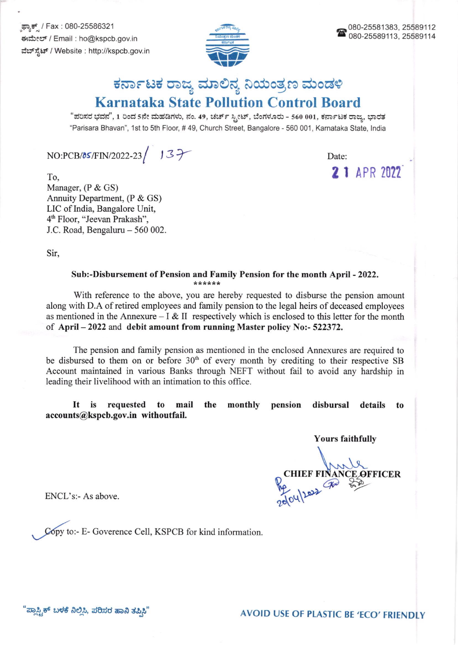ಫ್ಯಾಕ್ / Fax : 080-25586321 ಈಮೇಲ್ / Email : ho@kspcb.gov.in ವೆಬ್ ಸ್ಪೆಟ್ / Website : http://kspcb.gov.in



## ಕರ್ನಾಟಕ ರಾಜ್ಯ ಮಾಲಿನ್ಯ ನಿಯಂತ್ರಣ ಮಂಡಳಿ **Karnataka State Pollution Control Board**

"ಪರಿಸರ ಭವನ", 1 ರಿಂದ 5ನೇ ಮಹಡಿಗಳು, ನಂ. 49, ಚರ್ಚ್ ಸ್ಪೀಟ್, ಬೆಂಗಳೂರು - 560 001, ಕರ್ನಾಟಕ ರಾಜ್ಯ, ಭಾರತ "Parisara Bhavan", 1st to 5th Floor, #49, Church Street, Bangalore - 560 001, Karnataka State, India

 $NO:PCB/05/FIN/2022-23 / J3$ 

Date: 2 1 APR 2022

To, Manager, (P & GS) Annuity Department, (P & GS) LIC of India, Bangalore Unit, 4<sup>th</sup> Floor, "Jeevan Prakash", J.C. Road, Bengaluru - 560 002.

Sir,

## Sub:-Disbursement of Pension and Family Pension for the month April - 2022. \*\*\*\*\*\*

With reference to the above, you are hereby requested to disburse the pension amount along with D.A of retired employees and family pension to the legal heirs of deceased employees as mentioned in the Annexure – I & II respectively which is enclosed to this letter for the month of April  $-2022$  and debit amount from running Master policy No:-522372.

The pension and family pension as mentioned in the enclosed Annexures are required to be disbursed to them on or before  $30<sup>th</sup>$  of every month by crediting to their respective SB Account maintained in various Banks through NEFT without fail to avoid any hardship in leading their livelihood with an intimation to this office.

It is requested to mail the monthly pension disbursal details to accounts@kspcb.gov.in withoutfail.

**Yours faithfully** 

CHIEF FINANCE OFFICER

ENCL's:- As above.

Copy to:- E- Goverence Cell, KSPCB for kind information.